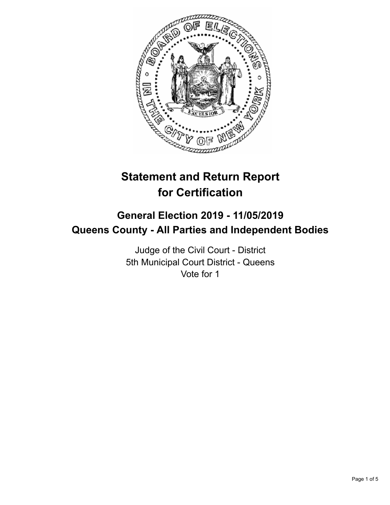

# **Statement and Return Report for Certification**

## **General Election 2019 - 11/05/2019 Queens County - All Parties and Independent Bodies**

Judge of the Civil Court - District 5th Municipal Court District - Queens Vote for 1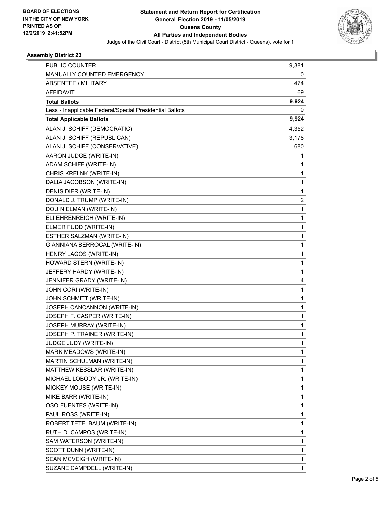

### **Assembly District 23**

| PUBLIC COUNTER                                           | 9,381 |
|----------------------------------------------------------|-------|
| MANUALLY COUNTED EMERGENCY                               | 0     |
| <b>ABSENTEE / MILITARY</b>                               | 474   |
| <b>AFFIDAVIT</b>                                         | 69    |
| <b>Total Ballots</b>                                     | 9,924 |
| Less - Inapplicable Federal/Special Presidential Ballots | 0     |
| <b>Total Applicable Ballots</b>                          | 9,924 |
| ALAN J. SCHIFF (DEMOCRATIC)                              | 4,352 |
| ALAN J. SCHIFF (REPUBLICAN)                              | 3,178 |
| ALAN J. SCHIFF (CONSERVATIVE)                            | 680   |
| AARON JUDGE (WRITE-IN)                                   | 1     |
| ADAM SCHIFF (WRITE-IN)                                   | 1     |
| CHRIS KRELNK (WRITE-IN)                                  | 1     |
| DALIA JACOBSON (WRITE-IN)                                | 1     |
| DENIS DIER (WRITE-IN)                                    | 1     |
| DONALD J. TRUMP (WRITE-IN)                               | 2     |
| DOU NIELMAN (WRITE-IN)                                   | 1     |
| ELI EHRENREICH (WRITE-IN)                                | 1     |
| ELMER FUDD (WRITE-IN)                                    | 1     |
| ESTHER SALZMAN (WRITE-IN)                                | 1     |
| GIANNIANA BERROCAL (WRITE-IN)                            | 1     |
| HENRY LAGOS (WRITE-IN)                                   | 1     |
| HOWARD STERN (WRITE-IN)                                  | 1     |
| JEFFERY HARDY (WRITE-IN)                                 | 1     |
| JENNIFER GRADY (WRITE-IN)                                | 4     |
| JOHN CORI (WRITE-IN)                                     | 1     |
| JOHN SCHMITT (WRITE-IN)                                  | 1     |
| JOSEPH CANCANNON (WRITE-IN)                              | 1     |
| JOSEPH F. CASPER (WRITE-IN)                              | 1     |
| JOSEPH MURRAY (WRITE-IN)                                 | 1     |
| JOSEPH P. TRAINER (WRITE-IN)                             | 1     |
| JUDGE JUDY (WRITE-IN)                                    | 1     |
| MARK MEADOWS (WRITE-IN)                                  | 1     |
| MARTIN SCHULMAN (WRITE-IN)                               | 1     |
| MATTHEW KESSLAR (WRITE-IN)                               | 1     |
| MICHAEL LOBODY JR. (WRITE-IN)                            | 1     |
| MICKEY MOUSE (WRITE-IN)                                  | 1     |
| MIKE BARR (WRITE-IN)                                     | 1     |
| OSO FUENTES (WRITE-IN)                                   | 1     |
| PAUL ROSS (WRITE-IN)                                     | 1     |
| ROBERT TETELBAUM (WRITE-IN)                              | 1     |
| RUTH D. CAMPOS (WRITE-IN)                                | 1     |
| SAM WATERSON (WRITE-IN)                                  | 1     |
| SCOTT DUNN (WRITE-IN)                                    | 1     |
| SEAN MCVEIGH (WRITE-IN)                                  | 1     |
| SUZANE CAMPDELL (WRITE-IN)                               | 1     |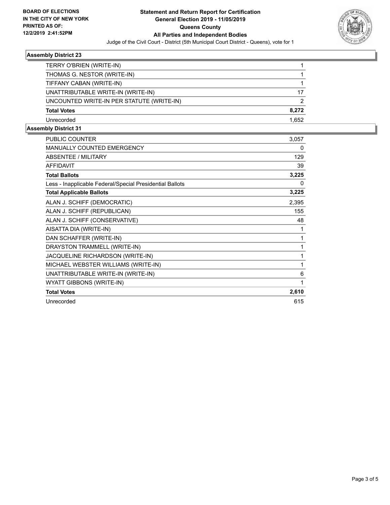

### **Assembly District 23**

| TERRY O'BRIEN (WRITE-IN)                  |       |
|-------------------------------------------|-------|
| THOMAS G. NESTOR (WRITE-IN)               |       |
| TIFFANY CABAN (WRITE-IN)                  |       |
| UNATTRIBUTABLE WRITE-IN (WRITE-IN)        | 17    |
| UNCOUNTED WRITE-IN PER STATUTE (WRITE-IN) | 2     |
| <b>Total Votes</b>                        | 8.272 |
| Unrecorded                                | 1.652 |

#### **Assembly District 31**

| <b>PUBLIC COUNTER</b>                                    | 3,057 |
|----------------------------------------------------------|-------|
| <b>MANUALLY COUNTED EMERGENCY</b>                        | 0     |
| <b>ABSENTEE / MILITARY</b>                               | 129   |
| <b>AFFIDAVIT</b>                                         | 39    |
| <b>Total Ballots</b>                                     | 3,225 |
| Less - Inapplicable Federal/Special Presidential Ballots | 0     |
| <b>Total Applicable Ballots</b>                          | 3,225 |
| ALAN J. SCHIFF (DEMOCRATIC)                              | 2,395 |
| ALAN J. SCHIFF (REPUBLICAN)                              | 155   |
| ALAN J. SCHIFF (CONSERVATIVE)                            | 48    |
| AISATTA DIA (WRITE-IN)                                   | 1     |
| DAN SCHAFFER (WRITE-IN)                                  | 1     |
| DRAYSTON TRAMMELL (WRITE-IN)                             |       |
| JACQUELINE RICHARDSON (WRITE-IN)                         | 1     |
| MICHAEL WEBSTER WILLIAMS (WRITE-IN)                      | 1     |
| UNATTRIBUTABLE WRITE-IN (WRITE-IN)                       | 6     |
| <b>WYATT GIBBONS (WRITE-IN)</b>                          | 1     |
| <b>Total Votes</b>                                       | 2,610 |
| Unrecorded                                               | 615   |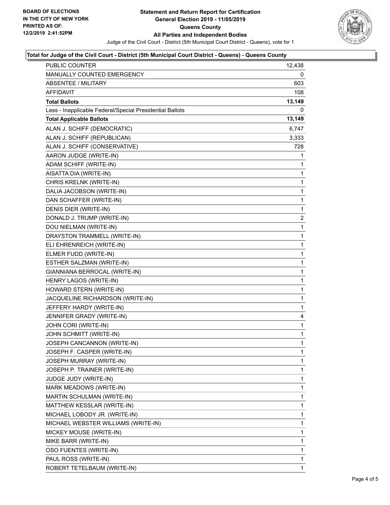

### **Total for Judge of the Civil Court - District (5th Municipal Court District - Queens) - Queens County**

| PUBLIC COUNTER                                           | 12,438       |
|----------------------------------------------------------|--------------|
| MANUALLY COUNTED EMERGENCY                               | 0            |
| <b>ABSENTEE / MILITARY</b>                               | 603          |
| AFFIDAVIT                                                | 108          |
| <b>Total Ballots</b>                                     | 13,149       |
| Less - Inapplicable Federal/Special Presidential Ballots | 0            |
| <b>Total Applicable Ballots</b>                          | 13,149       |
| ALAN J. SCHIFF (DEMOCRATIC)                              | 6,747        |
| ALAN J. SCHIFF (REPUBLICAN)                              | 3,333        |
| ALAN J. SCHIFF (CONSERVATIVE)                            | 728          |
| AARON JUDGE (WRITE-IN)                                   | 1            |
| ADAM SCHIFF (WRITE-IN)                                   | 1            |
| AISATTA DIA (WRITE-IN)                                   | 1            |
| CHRIS KRELNK (WRITE-IN)                                  | 1            |
| DALIA JACOBSON (WRITE-IN)                                | 1            |
| DAN SCHAFFER (WRITE-IN)                                  | $\mathbf{1}$ |
| DENIS DIER (WRITE-IN)                                    | 1            |
| DONALD J. TRUMP (WRITE-IN)                               | 2            |
| DOU NIELMAN (WRITE-IN)                                   | $\mathbf{1}$ |
| DRAYSTON TRAMMELL (WRITE-IN)                             | 1            |
| ELI EHRENREICH (WRITE-IN)                                | 1            |
| ELMER FUDD (WRITE-IN)                                    | $\mathbf{1}$ |
| ESTHER SALZMAN (WRITE-IN)                                | 1            |
| GIANNIANA BERROCAL (WRITE-IN)                            | 1            |
| HENRY LAGOS (WRITE-IN)                                   | $\mathbf 1$  |
| HOWARD STERN (WRITE-IN)                                  | 1            |
| JACQUELINE RICHARDSON (WRITE-IN)                         | 1            |
| JEFFERY HARDY (WRITE-IN)                                 | $\mathbf{1}$ |
| JENNIFER GRADY (WRITE-IN)                                | 4            |
| JOHN CORI (WRITE-IN)                                     | 1            |
| JOHN SCHMITT (WRITE-IN)                                  | $\mathbf{1}$ |
| JOSEPH CANCANNON (WRITE-IN)                              | 1            |
| JOSEPH F. CASPER (WRITE-IN)                              | $\mathbf{1}$ |
| JOSEPH MURRAY (WRITE-IN)                                 | 1            |
| JOSEPH P. TRAINER (WRITE-IN)                             | 1            |
| JUDGE JUDY (WRITE-IN)                                    | 1            |
| MARK MEADOWS (WRITE-IN)                                  | 1            |
| MARTIN SCHULMAN (WRITE-IN)                               | 1            |
| MATTHEW KESSLAR (WRITE-IN)                               | 1            |
| MICHAEL LOBODY JR. (WRITE-IN)                            | 1            |
| MICHAEL WEBSTER WILLIAMS (WRITE-IN)                      | 1            |
| MICKEY MOUSE (WRITE-IN)                                  | 1            |
| MIKE BARR (WRITE-IN)                                     | 1            |
| OSO FUENTES (WRITE-IN)                                   | 1            |
| PAUL ROSS (WRITE-IN)                                     | 1            |
| ROBERT TETELBAUM (WRITE-IN)                              | 1            |